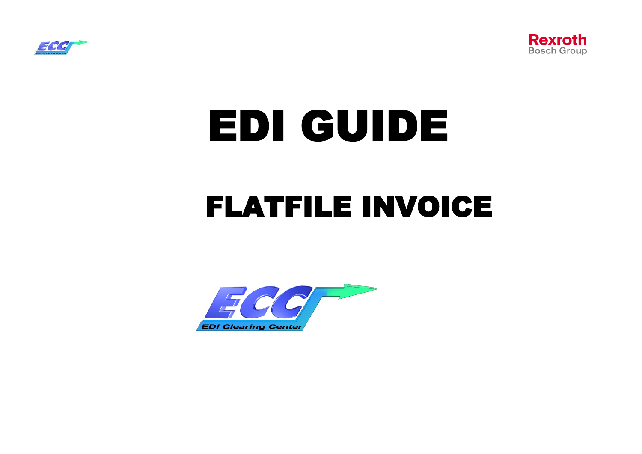



# EDI GUIDE FLATFILE INVOICE

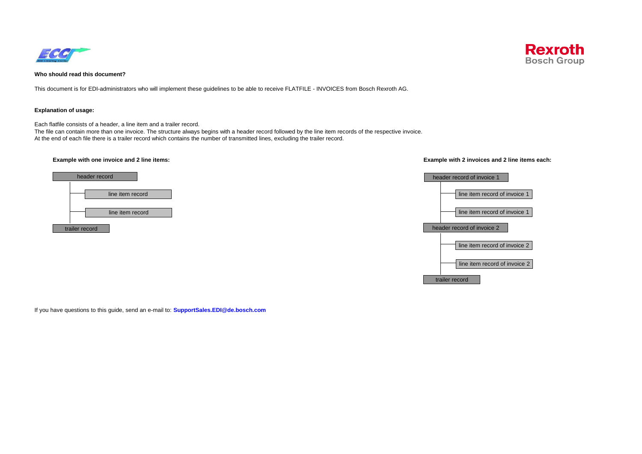



## **Who should read this document?**

This document is for EDI-administrators who will implement these guidelines to be able to receive FLATFILE - INVOICES from Bosch Rexroth AG.

### **Explanation of usage:**

Each flatfile consists of a header, a line item and a trailer record.

The file can contain more than one invoice. The structure always begins with a header record followed by the line item records of the respective invoice. At the end of each file there is a trailer record which contains the number of transmitted lines, excluding the trailer record.



### **Example with one invoice and 2 line items: Example with 2 invoices and 2 line items each:**



If you have questions to this guide, send an e-mail to: **SupportSales.EDI@de.bosch.com**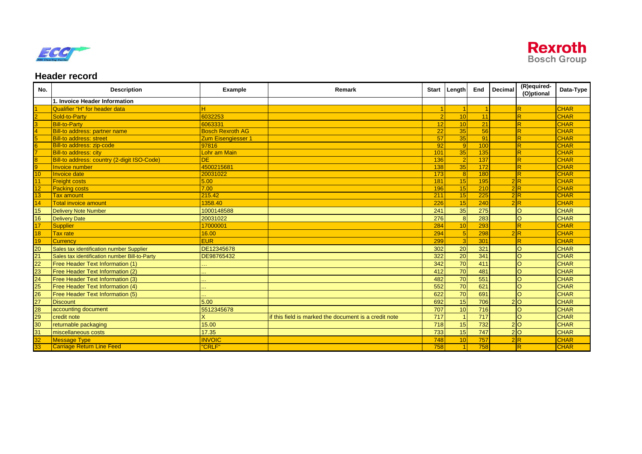



# **Header record**

| No.                                                                              | <b>Description</b>                            | Example                 | Remark                                                | Start | Length          | End             | Decimal | (R)equired-<br>(O)ptional | Data-Type   |
|----------------------------------------------------------------------------------|-----------------------------------------------|-------------------------|-------------------------------------------------------|-------|-----------------|-----------------|---------|---------------------------|-------------|
|                                                                                  | 1. Invoice Header Information                 |                         |                                                       |       |                 |                 |         |                           |             |
| 1<br>2<br>3<br>4<br>5<br>6<br>7<br>8<br>1<br>1<br>1<br><br>1<br>                 | Qualifier "H" for header data                 |                         |                                                       |       |                 |                 |         | lR                        | <b>CHAR</b> |
|                                                                                  | Sold-to-Party                                 | 6032253                 |                                                       |       | 10              | 11              |         | $\overline{\mathsf{R}}$   | <b>CHAR</b> |
|                                                                                  | <b>Bill-to-Party</b>                          | 6063331                 |                                                       | 12    | 10              | 21              |         | lR.                       | <b>CHAR</b> |
|                                                                                  | <b>Bill-to address: partner name</b>          | <b>Bosch Rexroth AG</b> |                                                       | 22    | 35              | 56              |         | $\overline{R}$            | <b>CHAR</b> |
|                                                                                  | <b>Bill-to address: street</b>                | Zum Eisengiesser 1      |                                                       | 57    | 35              | 91              |         | $\overline{R}$            | <b>CHAR</b> |
|                                                                                  | Bill-to address: zip-code                     | 97816                   |                                                       | 92    | $\mathbf{Q}$    | 100             |         | lR.                       | <b>CHAR</b> |
|                                                                                  | <b>Bill-to address: city</b>                  | Lohr am Main            |                                                       | 101   | 35              | 135             |         | $\overline{R}$            | <b>CHAR</b> |
|                                                                                  | Bill-to address: country (2-digit ISO-Code)   | ЭE                      |                                                       | 136   |                 | 137             |         | $\overline{R}$            | <b>CHAR</b> |
|                                                                                  | <b>Invoice number</b>                         | 4500215681              |                                                       | 138   | 35              | 172             |         | lR.                       | <b>CHAR</b> |
|                                                                                  | <b>Invoice date</b>                           | 20031022                |                                                       | 173   | $\mathbf{8}$    | 180             |         | lR.                       | <b>CHAR</b> |
|                                                                                  | <b>Freight costs</b>                          | 5.00                    |                                                       | 181   | 15              | 195             |         | 2 R                       | <b>CHAR</b> |
| $\frac{12}{13}$                                                                  | <b>Packing costs</b>                          | 7.00                    |                                                       | 196   | 15              | 210             |         | 2 R                       | <b>CHAR</b> |
|                                                                                  | <b>Tax amount</b>                             | 215.42                  |                                                       | 211   | 15              | 225             |         | 2 R                       | <b>CHAR</b> |
|                                                                                  | <b>Total invoice amount</b>                   | 1358.40                 |                                                       | 226   | 15              | 240             |         | 2R                        | <b>CHAR</b> |
|                                                                                  | <b>Delivery Note Number</b>                   | 1000148588              |                                                       | 241   | 35              | 275             |         | lo                        | <b>CHAR</b> |
|                                                                                  | <b>Delivery Date</b>                          | 20031022                |                                                       | 276   | 8               | 283             |         | lo                        | <b>CHAR</b> |
|                                                                                  | <b>Supplier</b>                               | 17000001                |                                                       | 284   | 10              | 293             |         | lR.                       | <b>CHAR</b> |
|                                                                                  | <b>Tax rate</b>                               | 16.00                   |                                                       | 294   |                 | 298             |         | 2R                        | <b>CHAR</b> |
|                                                                                  | <b>Currency</b>                               | <b>EUR</b>              |                                                       | 299   |                 | 30 <sup>4</sup> |         | IR                        | <b>CHAR</b> |
|                                                                                  | Sales tax identification number Supplier      | DE12345678              |                                                       | 302   | 20              | 321             |         | lo                        | <b>CHAR</b> |
|                                                                                  | Sales tax identification number Bill-to-Party | DE98765432              |                                                       | 322   | $\overline{20}$ | 341             |         | lo                        | <b>CHAR</b> |
|                                                                                  | Free Header Text Information (1)              |                         |                                                       | 342   | 70              | 411             |         | lo                        | <b>CHAR</b> |
|                                                                                  | Free Header Text Information (2)              |                         |                                                       | 412   | 70              | 481             |         | lO                        | <b>CHAR</b> |
|                                                                                  | Free Header Text Information (3)              |                         |                                                       | 482   | 70              | 551             |         | lo                        | <b>CHAR</b> |
|                                                                                  | Free Header Text Information (4)              |                         |                                                       | 552   | 70              | 621             |         | lo                        | <b>CHAR</b> |
|                                                                                  | Free Header Text Information (5)              |                         |                                                       | 622   | 70              | 691             |         | lo                        | <b>CHAR</b> |
|                                                                                  | <b>Discount</b>                               | 5.00                    |                                                       | 692   | 15              | 706             |         | 20                        | <b>CHAR</b> |
|                                                                                  | accounting document                           | 5512345678              |                                                       | 707   | 10              | 716             |         | lo                        | <b>CHAR</b> |
|                                                                                  | credit note                                   |                         | if this field is marked the document is a credit note | 717   |                 | 717             |         | lo                        | <b>CHAR</b> |
| <u> 15 16 <mark>17 18 19</mark> 19 20 21 22 23 24 25 26 27 28 29 30 31 32 33</u> | returnable packaging                          | 15.00                   |                                                       | 718   | 15              | 732             |         | 2 0                       | <b>CHAR</b> |
|                                                                                  | miscellaneous costs                           | 17.35                   |                                                       | 733   | 15              | 747             |         | 2 0                       | <b>CHAR</b> |
|                                                                                  | <b>Message Type</b>                           | <b>INVOIC</b>           |                                                       | 748   | 10              | 757             |         | 2R                        | <b>CHAR</b> |
|                                                                                  | <b>Carriage Return Line Feed</b>              | <b>'CRLF"</b>           |                                                       | 758   |                 | 758             |         | lR.                       | <b>CHAR</b> |